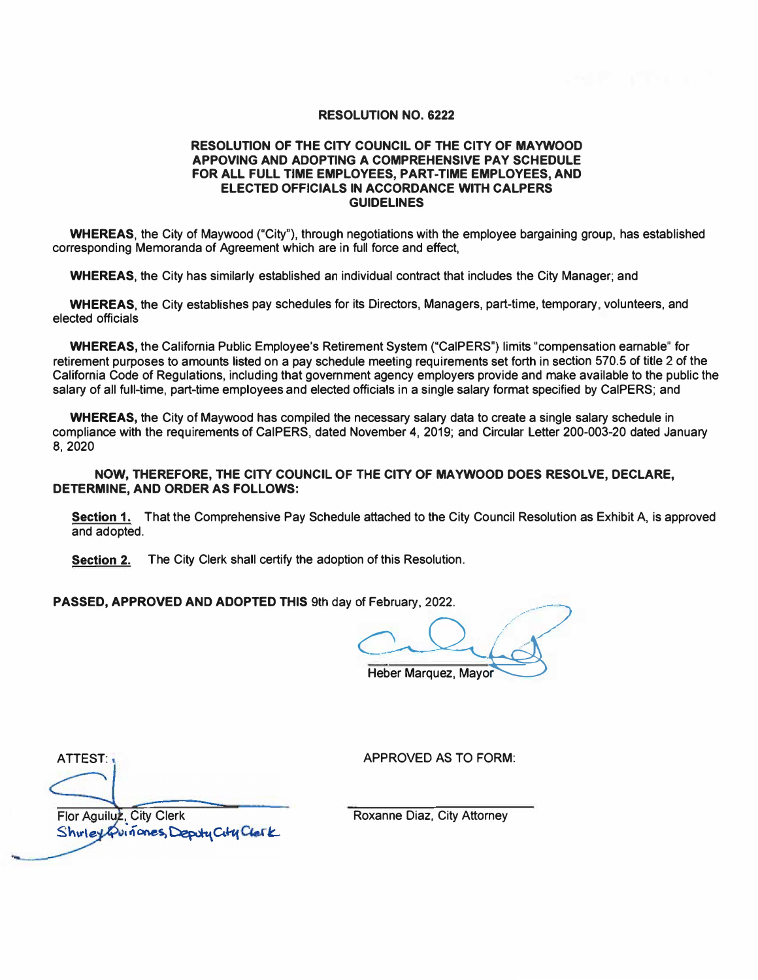## **RESOLUTION NO. 6222**

## **RESOLUTION OF THE CITY COUNCIL OF THE CITY OF MAYWOOD APPOVING AND ADOPTING A COMPREHENSIVE PAY SCHEDULE FOR ALL FULL TIME EMPLOYEES, PART-TIME EMPLOYEES, AND ELECTED OFFICIALS IN ACCORDANCE WITH CALPERS GUIDELINES**

**WHEREAS,** the City of Maywood ("City"}, through negotiations with the employee bargaining group, has established corresponding Memoranda of Agreement which are in full force and effect,

**WHEREAS,** the City has similarly established an individual contract that includes the City Manager; and

**WHEREAS,** the City establishes pay schedules for its Directors, Managers, part-time, temporary, volunteers, and elected officials

**WHEREAS,** the California Public Employee's Retirement System ("CalPERS") limits "compensation earnable" for retirement purposes to amounts listed on a pay schedule meeting requirements set forth in section 570.5 of title 2 of the California Code of Regulations, including that government agency employers provide and make available to the public the salary of all full-time, part-time employees and elected officials in a single salary format specified by CalPERS; and

**WHEREAS,** the City of Maywood has compiled the necessary salary data to create a single salary schedule in compliance with the requirements of CalPERS, dated November **4, 2019;** and Circular Letter **200-003-20** dated January **8,2020** 

**NOW,** THEREFORE, THE CITY COUNCIL OF THE CITY OF **MAYWOOD** DOES RESOLVE, DECLARE, **DETERMINE, AND ORDER AS FOLLOWS:** 

Section 1. That the Comprehensive Pay Schedule attached to the City Council Resolution as Exhibit A. is approved and adopted.

**Section 2.** The City Clerk shall certify the adoption of this Resolution.

PASSED, APPROVED AND ADOPTED THIS 9th day of February, 2022.

**.** *�* **ruary. 2022.**<br>**Per Marquez. Mayor** Heber Marquez, Mayor

ATTEST: 1 APPROVED AS TO FORM:

Flor Aguiluz, City Clerk Shirley Quinones, Deputy City Clerk

Roxanne Diaz, City Attorney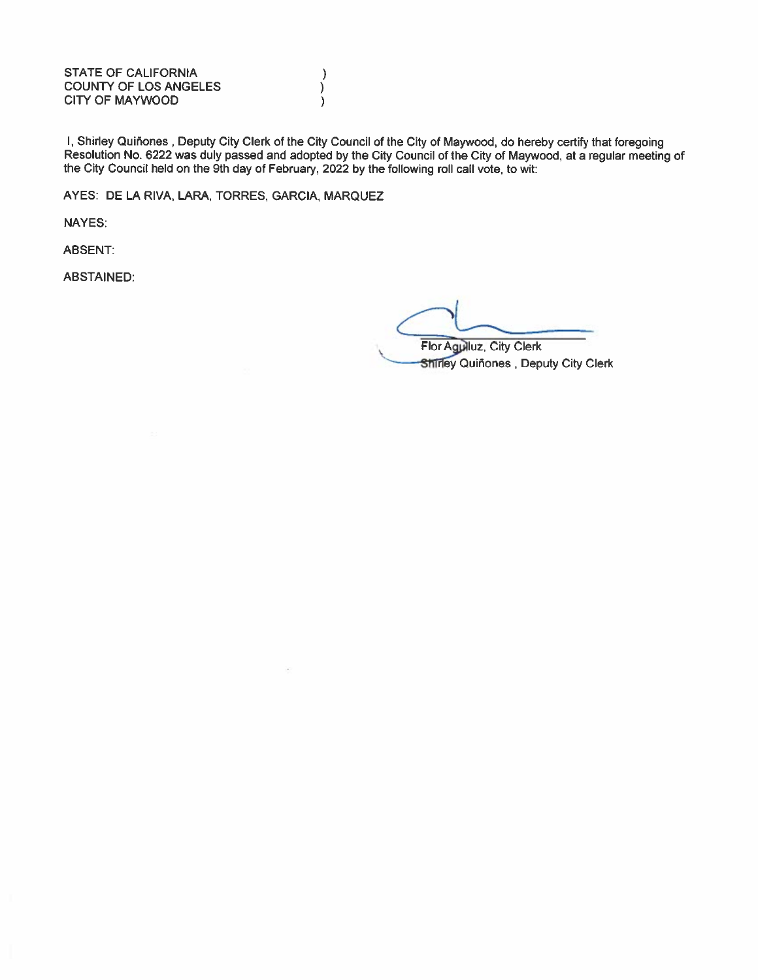**STATE OF CALIFORNIA COUNTY OF LOS ANGELES CITY OF MAYWOOD** 

I, Shirley Quiñones, Deputy City Clerk of the City Council of the City of Maywood, do hereby certify that foregoing Resolution No. 6222 was duly passed and adopted by the City Council of the City of Maywood, at a regular meeting of the City Council held on the 9th day of February, 2022 by the following roll call vote, to wit:

 $\lambda$ 

 $\lambda$ 

 $\lambda$ 

AYES: DE LA RIVA, LARA, TORRES, GARCIA, MARQUEZ

NAYES:

ABSENT:

**ABSTAINED:** 

Flor Agulluz, City Clerk Shirley Quiñones, Deputy City Clerk